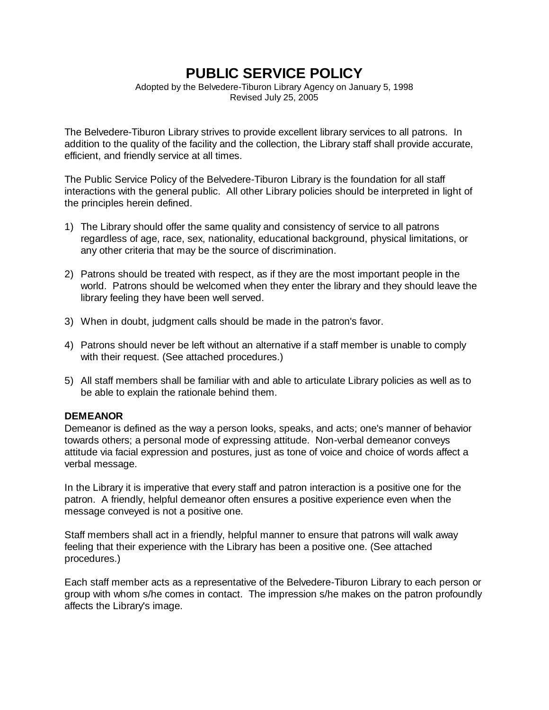# **PUBLIC SERVICE POLICY**

Adopted by the Belvedere-Tiburon Library Agency on January 5, 1998 Revised July 25, 2005

The Belvedere-Tiburon Library strives to provide excellent library services to all patrons. In addition to the quality of the facility and the collection, the Library staff shall provide accurate, efficient, and friendly service at all times.

The Public Service Policy of the Belvedere-Tiburon Library is the foundation for all staff interactions with the general public. All other Library policies should be interpreted in light of the principles herein defined.

- 1) The Library should offer the same quality and consistency of service to all patrons regardless of age, race, sex, nationality, educational background, physical limitations, or any other criteria that may be the source of discrimination.
- 2) Patrons should be treated with respect, as if they are the most important people in the world. Patrons should be welcomed when they enter the library and they should leave the library feeling they have been well served.
- 3) When in doubt, judgment calls should be made in the patron's favor.
- 4) Patrons should never be left without an alternative if a staff member is unable to comply with their request. (See attached procedures.)
- 5) All staff members shall be familiar with and able to articulate Library policies as well as to be able to explain the rationale behind them.

# **DEMEANOR**

Demeanor is defined as the way a person looks, speaks, and acts; one's manner of behavior towards others; a personal mode of expressing attitude. Non-verbal demeanor conveys attitude via facial expression and postures, just as tone of voice and choice of words affect a verbal message.

In the Library it is imperative that every staff and patron interaction is a positive one for the patron. A friendly, helpful demeanor often ensures a positive experience even when the message conveyed is not a positive one.

Staff members shall act in a friendly, helpful manner to ensure that patrons will walk away feeling that their experience with the Library has been a positive one. (See attached procedures.)

Each staff member acts as a representative of the Belvedere-Tiburon Library to each person or group with whom s/he comes in contact. The impression s/he makes on the patron profoundly affects the Library's image.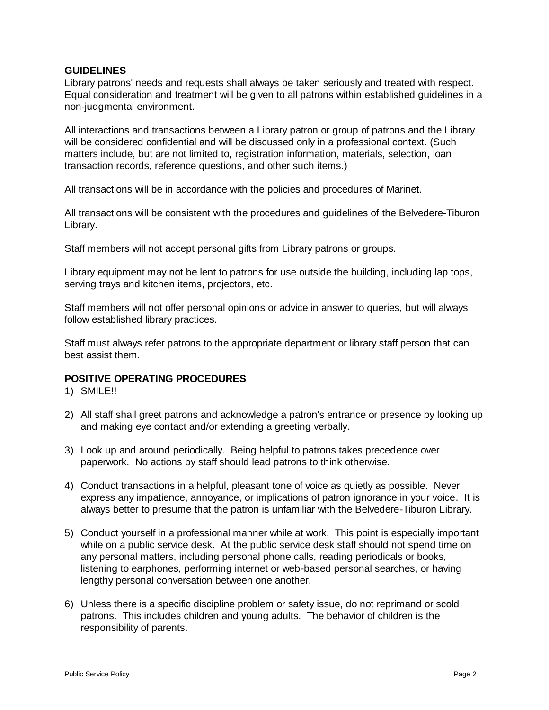# **GUIDELINES**

Library patrons' needs and requests shall always be taken seriously and treated with respect. Equal consideration and treatment will be given to all patrons within established guidelines in a non-judgmental environment.

All interactions and transactions between a Library patron or group of patrons and the Library will be considered confidential and will be discussed only in a professional context. (Such matters include, but are not limited to, registration information, materials, selection, loan transaction records, reference questions, and other such items.)

All transactions will be in accordance with the policies and procedures of Marinet.

All transactions will be consistent with the procedures and guidelines of the Belvedere-Tiburon Library.

Staff members will not accept personal gifts from Library patrons or groups.

Library equipment may not be lent to patrons for use outside the building, including lap tops, serving trays and kitchen items, projectors, etc.

Staff members will not offer personal opinions or advice in answer to queries, but will always follow established library practices.

Staff must always refer patrons to the appropriate department or library staff person that can best assist them.

# **POSITIVE OPERATING PROCEDURES**

1) SMILE!!

- 2) All staff shall greet patrons and acknowledge a patron's entrance or presence by looking up and making eye contact and/or extending a greeting verbally.
- 3) Look up and around periodically. Being helpful to patrons takes precedence over paperwork. No actions by staff should lead patrons to think otherwise.
- 4) Conduct transactions in a helpful, pleasant tone of voice as quietly as possible. Never express any impatience, annoyance, or implications of patron ignorance in your voice. It is always better to presume that the patron is unfamiliar with the Belvedere-Tiburon Library.
- 5) Conduct yourself in a professional manner while at work. This point is especially important while on a public service desk. At the public service desk staff should not spend time on any personal matters, including personal phone calls, reading periodicals or books, listening to earphones, performing internet or web-based personal searches, or having lengthy personal conversation between one another.
- 6) Unless there is a specific discipline problem or safety issue, do not reprimand or scold patrons. This includes children and young adults. The behavior of children is the responsibility of parents.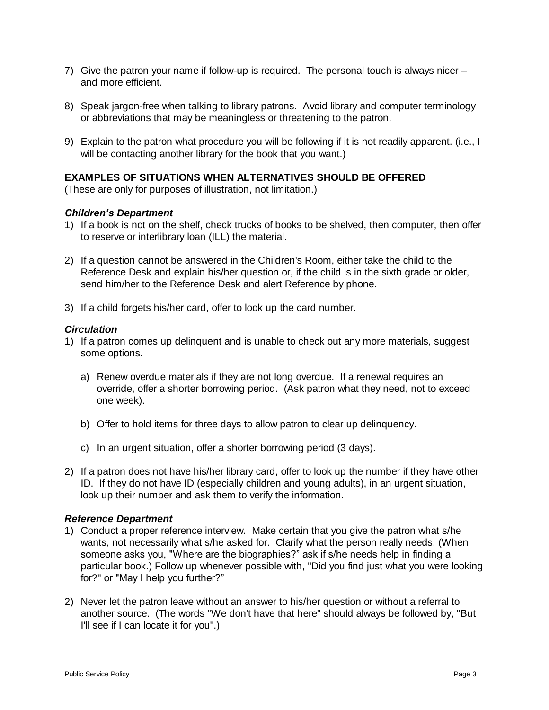- 7) Give the patron your name if follow-up is required. The personal touch is always nicer and more efficient.
- 8) Speak jargon-free when talking to library patrons. Avoid library and computer terminology or abbreviations that may be meaningless or threatening to the patron.
- 9) Explain to the patron what procedure you will be following if it is not readily apparent. (i.e., I will be contacting another library for the book that you want.)

# **EXAMPLES OF SITUATIONS WHEN ALTERNATIVES SHOULD BE OFFERED**

(These are only for purposes of illustration, not limitation.)

### *Children's Department*

- 1) If a book is not on the shelf, check trucks of books to be shelved, then computer, then offer to reserve or interlibrary loan (ILL) the material.
- 2) If a question cannot be answered in the Children's Room, either take the child to the Reference Desk and explain his/her question or, if the child is in the sixth grade or older, send him/her to the Reference Desk and alert Reference by phone.
- 3) If a child forgets his/her card, offer to look up the card number.

#### *Circulation*

- 1) If a patron comes up delinquent and is unable to check out any more materials, suggest some options.
	- a) Renew overdue materials if they are not long overdue. If a renewal requires an override, offer a shorter borrowing period. (Ask patron what they need, not to exceed one week).
	- b) Offer to hold items for three days to allow patron to clear up delinquency.
	- c) In an urgent situation, offer a shorter borrowing period (3 days).
- 2) If a patron does not have his/her library card, offer to look up the number if they have other ID. If they do not have ID (especially children and young adults), in an urgent situation, look up their number and ask them to verify the information.

#### *Reference Department*

- 1) Conduct a proper reference interview. Make certain that you give the patron what s/he wants, not necessarily what s/he asked for. Clarify what the person really needs. (When someone asks you, "Where are the biographies?" ask if s/he needs help in finding a particular book.) Follow up whenever possible with, "Did you find just what you were looking for?" or "May I help you further?"
- 2) Never let the patron leave without an answer to his/her question or without a referral to another source. (The words "We don't have that here" should always be followed by, "But I'll see if I can locate it for you".)